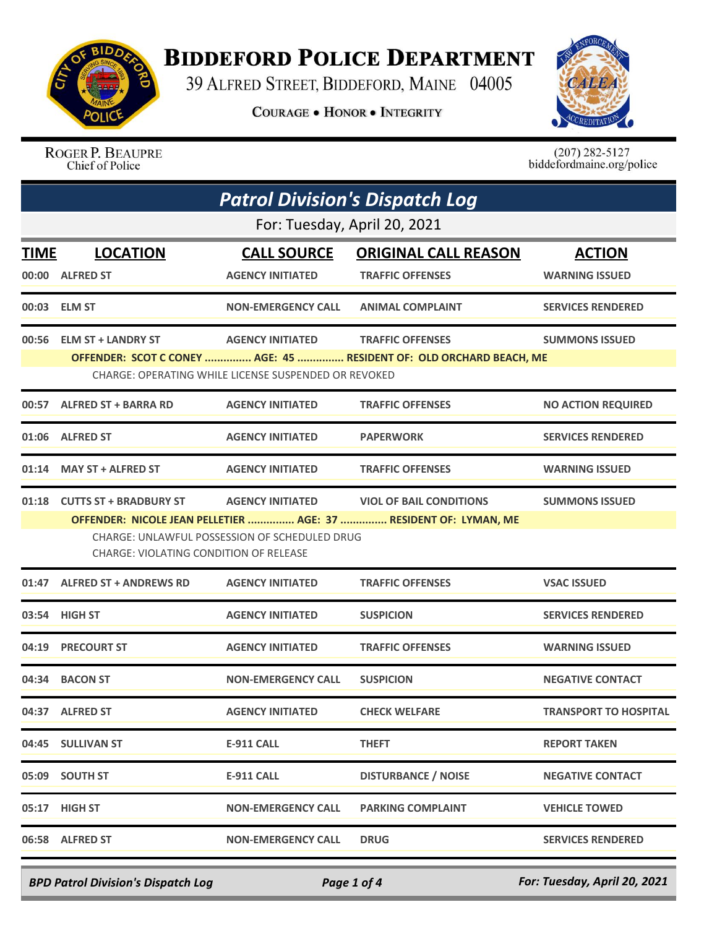

## **BIDDEFORD POLICE DEPARTMENT**

39 ALFRED STREET, BIDDEFORD, MAINE 04005

**COURAGE . HONOR . INTEGRITY** 



ROGER P. BEAUPRE Chief of Police

 $(207)$  282-5127<br>biddefordmaine.org/police

|      | <b>Patrol Division's Dispatch Log</b>                                                                                                                                                                                                                                                    |                                                                                        |                                                                                                |                                        |  |
|------|------------------------------------------------------------------------------------------------------------------------------------------------------------------------------------------------------------------------------------------------------------------------------------------|----------------------------------------------------------------------------------------|------------------------------------------------------------------------------------------------|----------------------------------------|--|
|      | For: Tuesday, April 20, 2021                                                                                                                                                                                                                                                             |                                                                                        |                                                                                                |                                        |  |
| TIME | <b>LOCATION</b><br>00:00 ALFRED ST                                                                                                                                                                                                                                                       | <b>CALL SOURCE</b><br><b>AGENCY INITIATED</b>                                          | <b>ORIGINAL CALL REASON</b><br><b>TRAFFIC OFFENSES</b>                                         | <b>ACTION</b><br><b>WARNING ISSUED</b> |  |
|      | 00:03 ELM ST                                                                                                                                                                                                                                                                             | <b>NON-EMERGENCY CALL</b>                                                              | <b>ANIMAL COMPLAINT</b>                                                                        | <b>SERVICES RENDERED</b>               |  |
|      | 00:56 ELM ST + LANDRY ST                                                                                                                                                                                                                                                                 | <b>AGENCY INITIATED</b><br><b>CHARGE: OPERATING WHILE LICENSE SUSPENDED OR REVOKED</b> | <b>TRAFFIC OFFENSES</b><br>OFFENDER: SCOT C CONEY  AGE: 45  RESIDENT OF: OLD ORCHARD BEACH, ME | <b>SUMMONS ISSUED</b>                  |  |
|      | 00:57 ALFRED ST + BARRA RD                                                                                                                                                                                                                                                               | <b>AGENCY INITIATED</b>                                                                | <b>TRAFFIC OFFENSES</b>                                                                        | <b>NO ACTION REQUIRED</b>              |  |
|      | 01:06 ALFRED ST                                                                                                                                                                                                                                                                          | <b>AGENCY INITIATED</b>                                                                | <b>PAPERWORK</b>                                                                               | <b>SERVICES RENDERED</b>               |  |
|      | 01:14 MAY ST + ALFRED ST                                                                                                                                                                                                                                                                 | <b>AGENCY INITIATED</b>                                                                | <b>TRAFFIC OFFENSES</b>                                                                        | <b>WARNING ISSUED</b>                  |  |
|      | 01:18 CUTTS ST + BRADBURY ST<br><b>AGENCY INITIATED</b><br><b>VIOL OF BAIL CONDITIONS</b><br><b>SUMMONS ISSUED</b><br>OFFENDER: NICOLE JEAN PELLETIER  AGE: 37  RESIDENT OF: LYMAN, ME<br><b>CHARGE: UNLAWFUL POSSESSION OF SCHEDULED DRUG</b><br>CHARGE: VIOLATING CONDITION OF RELEASE |                                                                                        |                                                                                                |                                        |  |
|      | 01:47 ALFRED ST + ANDREWS RD                                                                                                                                                                                                                                                             | <b>AGENCY INITIATED</b>                                                                | <b>TRAFFIC OFFENSES</b>                                                                        | <b>VSAC ISSUED</b>                     |  |
|      | 03:54 HIGH ST                                                                                                                                                                                                                                                                            | <b>AGENCY INITIATED</b>                                                                | <b>SUSPICION</b>                                                                               | <b>SERVICES RENDERED</b>               |  |
|      | 04:19 PRECOURT ST                                                                                                                                                                                                                                                                        | <b>AGENCY INITIATED</b>                                                                | <b>TRAFFIC OFFENSES</b>                                                                        | <b>WARNING ISSUED</b>                  |  |
|      | 04:34 BACON ST                                                                                                                                                                                                                                                                           | <b>NON-EMERGENCY CALL</b>                                                              | <b>SUSPICION</b>                                                                               | <b>NEGATIVE CONTACT</b>                |  |
|      | 04:37 ALFRED ST                                                                                                                                                                                                                                                                          | <b>AGENCY INITIATED</b>                                                                | <b>CHECK WELFARE</b>                                                                           | TRANSPORT TO HOSPITAL                  |  |
|      | 04:45 SULLIVAN ST                                                                                                                                                                                                                                                                        | <b>E-911 CALL</b>                                                                      | <b>THEFT</b>                                                                                   | <b>REPORT TAKEN</b>                    |  |
|      | 05:09 SOUTH ST                                                                                                                                                                                                                                                                           | <b>E-911 CALL</b>                                                                      | <b>DISTURBANCE / NOISE</b>                                                                     | <b>NEGATIVE CONTACT</b>                |  |
|      | 05:17 HIGH ST                                                                                                                                                                                                                                                                            | <b>NON-EMERGENCY CALL</b>                                                              | <b>PARKING COMPLAINT</b>                                                                       | <b>VEHICLE TOWED</b>                   |  |
|      | 06:58 ALFRED ST                                                                                                                                                                                                                                                                          | <b>NON-EMERGENCY CALL</b>                                                              | <b>DRUG</b>                                                                                    | <b>SERVICES RENDERED</b>               |  |

*BPD Patrol Division's Dispatch Log Page 1 of 4 For: Tuesday, April 20, 2021*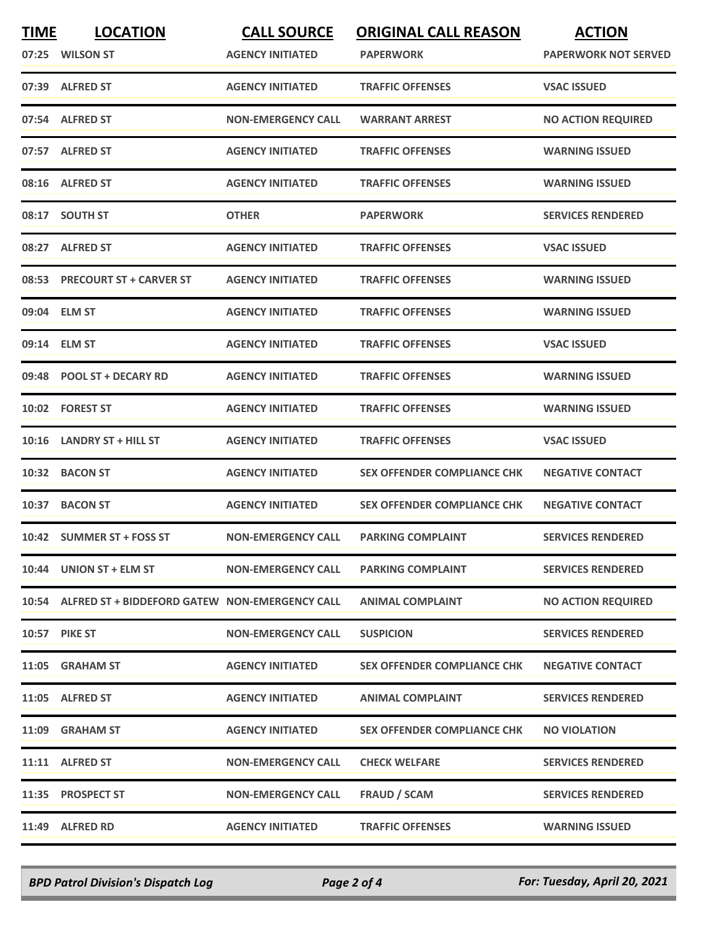| <b>TIME</b> | <b>LOCATION</b><br>07:25 WILSON ST                   | <b>CALL SOURCE</b><br><b>AGENCY INITIATED</b> | <b>ORIGINAL CALL REASON</b><br><b>PAPERWORK</b> | <b>ACTION</b><br><b>PAPERWORK NOT SERVED</b> |
|-------------|------------------------------------------------------|-----------------------------------------------|-------------------------------------------------|----------------------------------------------|
|             | 07:39 ALFRED ST                                      | <b>AGENCY INITIATED</b>                       | <b>TRAFFIC OFFENSES</b>                         | <b>VSAC ISSUED</b>                           |
|             | 07:54 ALFRED ST                                      | <b>NON-EMERGENCY CALL</b>                     | <b>WARRANT ARREST</b>                           | <b>NO ACTION REQUIRED</b>                    |
|             | 07:57 ALFRED ST                                      | <b>AGENCY INITIATED</b>                       | <b>TRAFFIC OFFENSES</b>                         | <b>WARNING ISSUED</b>                        |
|             | 08:16 ALFRED ST                                      | <b>AGENCY INITIATED</b>                       | <b>TRAFFIC OFFENSES</b>                         | <b>WARNING ISSUED</b>                        |
|             | 08:17 SOUTH ST                                       | <b>OTHER</b>                                  | <b>PAPERWORK</b>                                | <b>SERVICES RENDERED</b>                     |
|             | 08:27 ALFRED ST                                      | <b>AGENCY INITIATED</b>                       | <b>TRAFFIC OFFENSES</b>                         | <b>VSAC ISSUED</b>                           |
|             | 08:53 PRECOURT ST + CARVER ST                        | <b>AGENCY INITIATED</b>                       | <b>TRAFFIC OFFENSES</b>                         | <b>WARNING ISSUED</b>                        |
|             | 09:04 ELM ST                                         | <b>AGENCY INITIATED</b>                       | <b>TRAFFIC OFFENSES</b>                         | <b>WARNING ISSUED</b>                        |
|             | 09:14 ELM ST                                         | <b>AGENCY INITIATED</b>                       | <b>TRAFFIC OFFENSES</b>                         | <b>VSAC ISSUED</b>                           |
|             | 09:48 POOL ST + DECARY RD                            | <b>AGENCY INITIATED</b>                       | <b>TRAFFIC OFFENSES</b>                         | <b>WARNING ISSUED</b>                        |
|             | 10:02 FOREST ST                                      | <b>AGENCY INITIATED</b>                       | <b>TRAFFIC OFFENSES</b>                         | <b>WARNING ISSUED</b>                        |
| 10:16       | <b>LANDRY ST + HILL ST</b>                           | <b>AGENCY INITIATED</b>                       | <b>TRAFFIC OFFENSES</b>                         | <b>VSAC ISSUED</b>                           |
| 10:32       | <b>BACON ST</b>                                      | <b>AGENCY INITIATED</b>                       | <b>SEX OFFENDER COMPLIANCE CHK</b>              | <b>NEGATIVE CONTACT</b>                      |
|             | 10:37 BACON ST                                       | <b>AGENCY INITIATED</b>                       | <b>SEX OFFENDER COMPLIANCE CHK</b>              | <b>NEGATIVE CONTACT</b>                      |
|             | 10:42 SUMMER ST + FOSS ST                            | <b>NON-EMERGENCY CALL</b>                     | <b>PARKING COMPLAINT</b>                        | <b>SERVICES RENDERED</b>                     |
|             | 10:44 UNION ST + ELM ST                              | <b>NON-EMERGENCY CALL</b>                     | <b>PARKING COMPLAINT</b>                        | <b>SERVICES RENDERED</b>                     |
|             | 10:54 ALFRED ST + BIDDEFORD GATEW NON-EMERGENCY CALL |                                               | <b>ANIMAL COMPLAINT</b>                         | <b>NO ACTION REQUIRED</b>                    |
|             | <b>10:57 PIKE ST</b>                                 | <b>NON-EMERGENCY CALL</b>                     | <b>SUSPICION</b>                                | <b>SERVICES RENDERED</b>                     |
|             | 11:05 GRAHAM ST                                      | <b>AGENCY INITIATED</b>                       | <b>SEX OFFENDER COMPLIANCE CHK</b>              | <b>NEGATIVE CONTACT</b>                      |
|             | 11:05 ALFRED ST                                      | <b>AGENCY INITIATED</b>                       | <b>ANIMAL COMPLAINT</b>                         | <b>SERVICES RENDERED</b>                     |
|             | 11:09 GRAHAM ST                                      | <b>AGENCY INITIATED</b>                       | <b>SEX OFFENDER COMPLIANCE CHK</b>              | <b>NO VIOLATION</b>                          |
|             | 11:11 ALFRED ST                                      | <b>NON-EMERGENCY CALL</b>                     | <b>CHECK WELFARE</b>                            | <b>SERVICES RENDERED</b>                     |
|             | 11:35 PROSPECT ST                                    | <b>NON-EMERGENCY CALL</b>                     | FRAUD / SCAM                                    | <b>SERVICES RENDERED</b>                     |
|             | 11:49 ALFRED RD                                      | <b>AGENCY INITIATED</b>                       | <b>TRAFFIC OFFENSES</b>                         | <b>WARNING ISSUED</b>                        |

*BPD Patrol Division's Dispatch Log Page 2 of 4 For: Tuesday, April 20, 2021*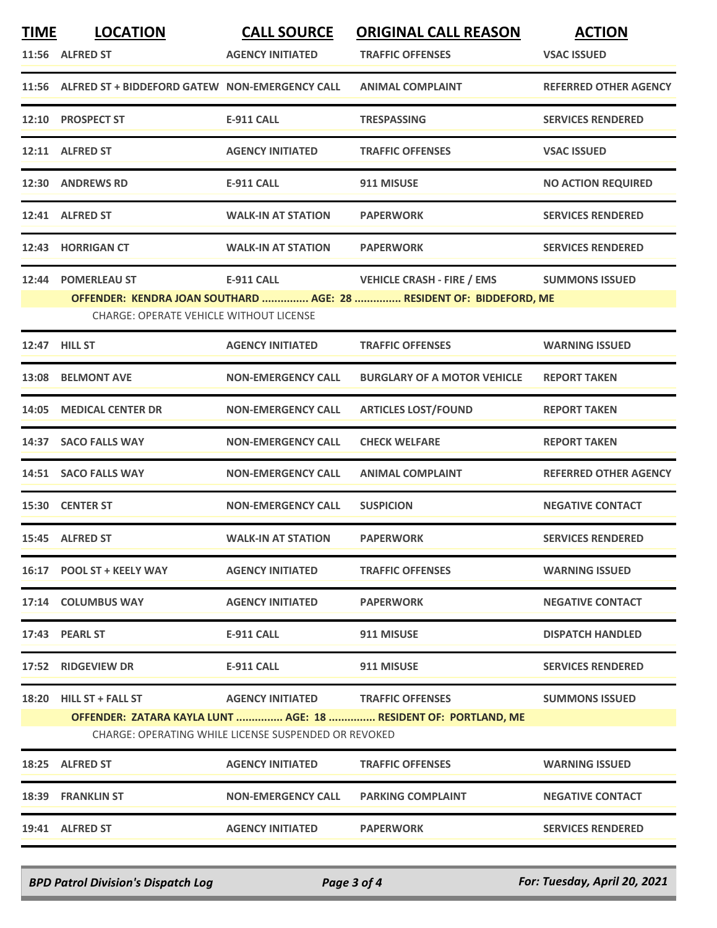| <b>TIME</b>                                          | <b>LOCATION</b>                                      | <b>CALL SOURCE</b>                | <b>ORIGINAL CALL REASON</b>                                         | <b>ACTION</b>                |
|------------------------------------------------------|------------------------------------------------------|-----------------------------------|---------------------------------------------------------------------|------------------------------|
|                                                      | 11:56 ALFRED ST                                      | <b>AGENCY INITIATED</b>           | <b>TRAFFIC OFFENSES</b>                                             | <b>VSAC ISSUED</b>           |
|                                                      | 11:56 ALFRED ST + BIDDEFORD GATEW NON-EMERGENCY CALL |                                   | <b>ANIMAL COMPLAINT</b>                                             | <b>REFERRED OTHER AGENCY</b> |
|                                                      | 12:10 PROSPECT ST                                    | <b>E-911 CALL</b>                 | <b>TRESPASSING</b>                                                  | <b>SERVICES RENDERED</b>     |
|                                                      | 12:11 ALFRED ST                                      | <b>AGENCY INITIATED</b>           | <b>TRAFFIC OFFENSES</b>                                             | <b>VSAC ISSUED</b>           |
|                                                      | 12:30 ANDREWS RD                                     | <b>E-911 CALL</b>                 | 911 MISUSE                                                          | <b>NO ACTION REQUIRED</b>    |
|                                                      | 12:41 ALFRED ST                                      | <b>WALK-IN AT STATION</b>         | <b>PAPERWORK</b>                                                    | <b>SERVICES RENDERED</b>     |
| 12:43                                                | <b>HORRIGAN CT</b>                                   | <b>WALK-IN AT STATION</b>         | <b>PAPERWORK</b>                                                    | <b>SERVICES RENDERED</b>     |
|                                                      | 12:44 POMERLEAU ST                                   | <b>E-911 CALL</b>                 | <b>VEHICLE CRASH - FIRE / EMS</b>                                   | <b>SUMMONS ISSUED</b>        |
|                                                      |                                                      |                                   | OFFENDER: KENDRA JOAN SOUTHARD  AGE: 28  RESIDENT OF: BIDDEFORD, ME |                              |
|                                                      | <b>CHARGE: OPERATE VEHICLE WITHOUT LICENSE</b>       |                                   |                                                                     |                              |
|                                                      | 12:47 HILL ST                                        | <b>AGENCY INITIATED</b>           | <b>TRAFFIC OFFENSES</b>                                             | <b>WARNING ISSUED</b>        |
|                                                      | 13:08 BELMONT AVE                                    | <b>NON-EMERGENCY CALL</b>         | <b>BURGLARY OF A MOTOR VEHICLE</b>                                  | <b>REPORT TAKEN</b>          |
|                                                      | 14:05 MEDICAL CENTER DR                              | <b>NON-EMERGENCY CALL</b>         | <b>ARTICLES LOST/FOUND</b>                                          | <b>REPORT TAKEN</b>          |
|                                                      | 14:37 SACO FALLS WAY                                 | <b>NON-EMERGENCY CALL</b>         | <b>CHECK WELFARE</b>                                                | <b>REPORT TAKEN</b>          |
|                                                      | 14:51 SACO FALLS WAY                                 | <b>NON-EMERGENCY CALL</b>         | <b>ANIMAL COMPLAINT</b>                                             | <b>REFERRED OTHER AGENCY</b> |
|                                                      | 15:30 CENTER ST                                      | <b>NON-EMERGENCY CALL</b>         | <b>SUSPICION</b>                                                    | <b>NEGATIVE CONTACT</b>      |
|                                                      | 15:45 ALFRED ST                                      | <b>WALK-IN AT STATION</b>         | <b>PAPERWORK</b>                                                    | <b>SERVICES RENDERED</b>     |
|                                                      | 16:17 POOL ST + KEELY WAY                            | <b>AGENCY INITIATED</b>           | <b>TRAFFIC OFFENSES</b>                                             | <b>WARNING ISSUED</b>        |
|                                                      | 17:14 COLUMBUS WAY                                   | <b>AGENCY INITIATED</b>           | <b>PAPERWORK</b>                                                    | <b>NEGATIVE CONTACT</b>      |
|                                                      | 17:43 PEARL ST                                       | <b>E-911 CALL</b>                 | 911 MISUSE                                                          | <b>DISPATCH HANDLED</b>      |
|                                                      | 17:52 RIDGEVIEW DR                                   | E-911 CALL                        | 911 MISUSE                                                          | <b>SERVICES RENDERED</b>     |
|                                                      | 18:20 HILL ST + FALL ST                              | AGENCY INITIATED TRAFFIC OFFENSES |                                                                     | <b>SUMMONS ISSUED</b>        |
|                                                      |                                                      |                                   | OFFENDER: ZATARA KAYLA LUNT  AGE: 18  RESIDENT OF: PORTLAND, ME     |                              |
| CHARGE: OPERATING WHILE LICENSE SUSPENDED OR REVOKED |                                                      |                                   |                                                                     |                              |
|                                                      | 18:25 ALFRED ST                                      | <b>AGENCY INITIATED</b>           | <b>TRAFFIC OFFENSES</b>                                             | <b>WARNING ISSUED</b>        |
|                                                      | 18:39 FRANKLIN ST                                    | <b>NON-EMERGENCY CALL</b>         | <b>PARKING COMPLAINT</b>                                            | <b>NEGATIVE CONTACT</b>      |
|                                                      | 19:41 ALFRED ST                                      | <b>AGENCY INITIATED</b>           | <b>PAPERWORK</b>                                                    | <b>SERVICES RENDERED</b>     |

*BPD Patrol Division's Dispatch Log Page 3 of 4 For: Tuesday, April 20, 2021*